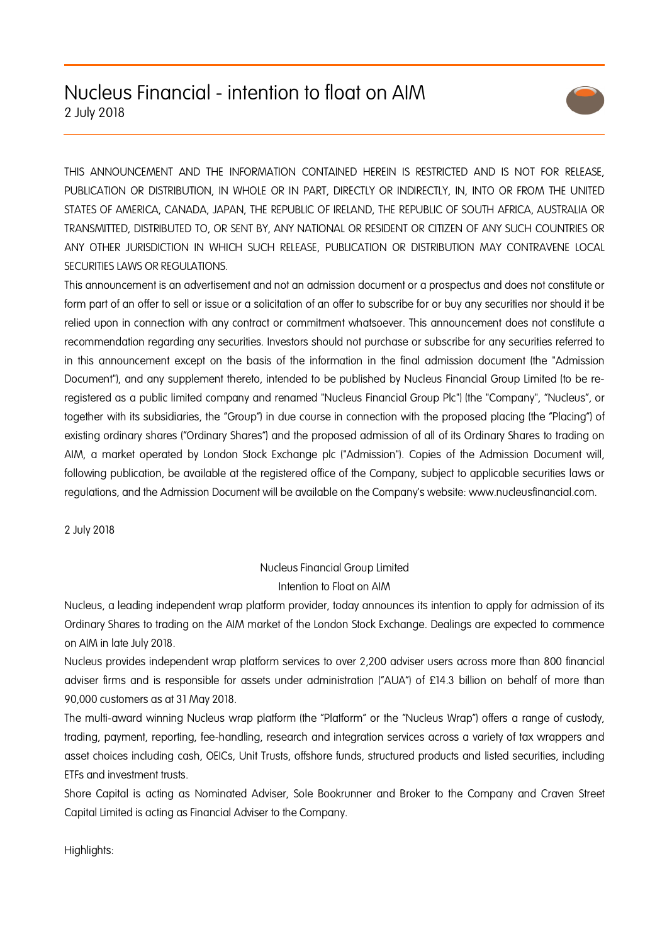# Nucleus Financial - intention to float on AIM 2 July 2018



THIS ANNOUNCEMENT AND THE INFORMATION CONTAINED HEREIN IS RESTRICTED AND IS NOT FOR RELEASE, PUBLICATION OR DISTRIBUTION, IN WHOLE OR IN PART, DIRECTLY OR INDIRECTLY, IN, INTO OR FROM THE UNITED STATES OF AMERICA, CANADA, JAPAN, THE REPUBLIC OF IRELAND, THE REPUBLIC OF SOUTH AFRICA, AUSTRALIA OR TRANSMITTED, DISTRIBUTED TO, OR SENT BY, ANY NATIONAL OR RESIDENT OR CITIZEN OF ANY SUCH COUNTRIES OR ANY OTHER JURISDICTION IN WHICH SUCH RELEASE, PUBLICATION OR DISTRIBUTION MAY CONTRAVENE LOCAL SECURITIES LAWS OR REGULATIONS.

This announcement is an advertisement and not an admission document or a prospectus and does not constitute or form part of an offer to sell or issue or a solicitation of an offer to subscribe for or buy any securities nor should it be relied upon in connection with any contract or commitment whatsoever. This announcement does not constitute a recommendation regarding any securities. Investors should not purchase or subscribe for any securities referred to in this announcement except on the basis of the information in the final admission document (the "Admission Document"), and any supplement thereto, intended to be published by Nucleus Financial Group Limited (to be reregistered as a public limited company and renamed "Nucleus Financial Group Plc") (the "Company", "Nucleus", or together with its subsidiaries, the "Group") in due course in connection with the proposed placing (the "Placing") of existing ordinary shares ("Ordinary Shares") and the proposed admission of all of its Ordinary Shares to trading on AIM, a market operated by London Stock Exchange plc ("Admission"). Copies of the Admission Document will, following publication, be available at the registered office of the Company, subject to applicable securities laws or regulations, and the Admission Document will be available on the Company's website: www.nucleusfinancial.com.

2 July 2018

# Nucleus Financial Group Limited Intention to Float on AIM

Nucleus, a leading independent wrap platform provider, today announces its intention to apply for admission of its Ordinary Shares to trading on the AIM market of the London Stock Exchange. Dealings are expected to commence on AIM in late July 2018.

Nucleus provides independent wrap platform services to over 2,200 adviser users across more than 800 financial adviser firms and is responsible for assets under administration ("AUA") of £14.3 billion on behalf of more than 90,000 customers as at 31 May 2018.

The multi-award winning Nucleus wrap platform (the "Platform" or the "Nucleus Wrap") offers a range of custody, trading, payment, reporting, fee-handling, research and integration services across a variety of tax wrappers and asset choices including cash, OEICs, Unit Trusts, offshore funds, structured products and listed securities, including ETFs and investment trusts.

Shore Capital is acting as Nominated Adviser, Sole Bookrunner and Broker to the Company and Craven Street Capital Limited is acting as Financial Adviser to the Company.

Highlights: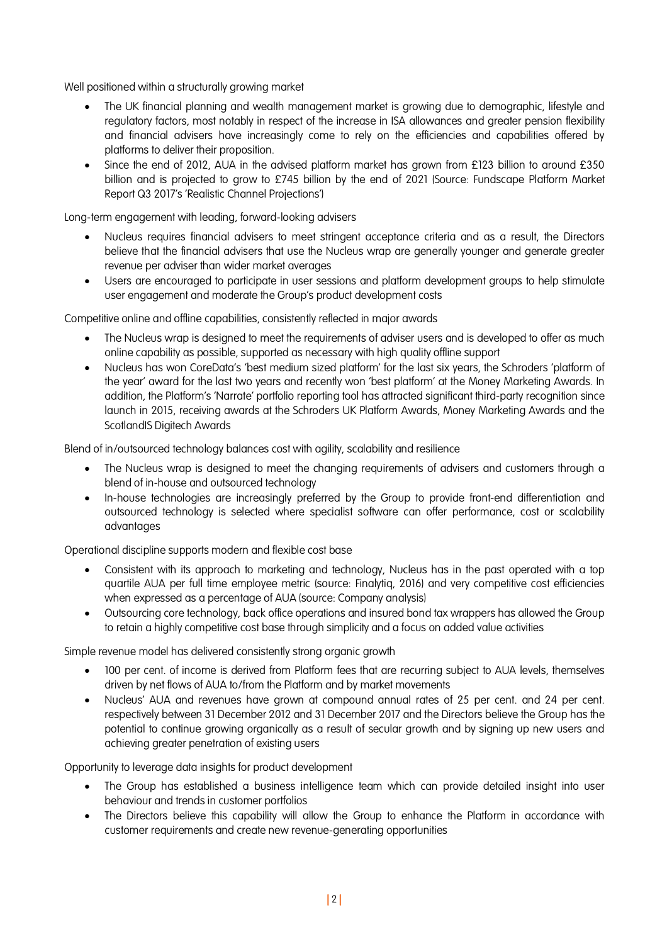Well positioned within a structurally growing market

- The UK financial planning and wealth management market is growing due to demographic, lifestyle and regulatory factors, most notably in respect of the increase in ISA allowances and greater pension flexibility and financial advisers have increasingly come to rely on the efficiencies and capabilities offered by platforms to deliver their proposition.
- Since the end of 2012, AUA in the advised platform market has grown from £123 billion to around £350 billion and is projected to grow to £745 billion by the end of 2021 (Source: Fundscape Platform Market Report Q3 2017's 'Realistic Channel Projections')

Long-term engagement with leading, forward-looking advisers

- Nucleus requires financial advisers to meet stringent acceptance criteria and as a result, the Directors believe that the financial advisers that use the Nucleus wrap are generally younger and generate greater revenue per adviser than wider market averages
- Users are encouraged to participate in user sessions and platform development groups to help stimulate user engagement and moderate the Group's product development costs

Competitive online and offline capabilities, consistently reflected in major awards

- The Nucleus wrap is designed to meet the requirements of adviser users and is developed to offer as much online capability as possible, supported as necessary with high quality offline support
- Nucleus has won CoreData's 'best medium sized platform' for the last six years, the Schroders 'platform of the year' award for the last two years and recently won 'best platform' at the Money Marketing Awards. In addition, the Platform's 'Narrate' portfolio reporting tool has attracted significant third-party recognition since launch in 2015, receiving awards at the Schroders UK Platform Awards, Money Marketing Awards and the ScotlandIS Digitech Awards

Blend of in/outsourced technology balances cost with agility, scalability and resilience

- The Nucleus wrap is designed to meet the changing requirements of advisers and customers through a blend of in-house and outsourced technology
- In-house technologies are increasingly preferred by the Group to provide front-end differentiation and outsourced technology is selected where specialist software can offer performance, cost or scalability advantages

Operational discipline supports modern and flexible cost base

- Consistent with its approach to marketing and technology, Nucleus has in the past operated with a top quartile AUA per full time employee metric (source: Finalytiq, 2016) and very competitive cost efficiencies when expressed as a percentage of AUA (source: Company analysis)
- Outsourcing core technology, back office operations and insured bond tax wrappers has allowed the Group to retain a highly competitive cost base through simplicity and a focus on added value activities

Simple revenue model has delivered consistently strong organic growth

- 100 per cent. of income is derived from Platform fees that are recurring subject to AUA levels, themselves driven by net flows of AUA to/from the Platform and by market movements
- Nucleus' AUA and revenues have grown at compound annual rates of 25 per cent. and 24 per cent. respectively between 31 December 2012 and 31 December 2017 and the Directors believe the Group has the potential to continue growing organically as a result of secular growth and by signing up new users and achieving greater penetration of existing users

Opportunity to leverage data insights for product development

- The Group has established a business intelligence team which can provide detailed insight into user behaviour and trends in customer portfolios
- The Directors believe this capability will allow the Group to enhance the Platform in accordance with customer requirements and create new revenue-generating opportunities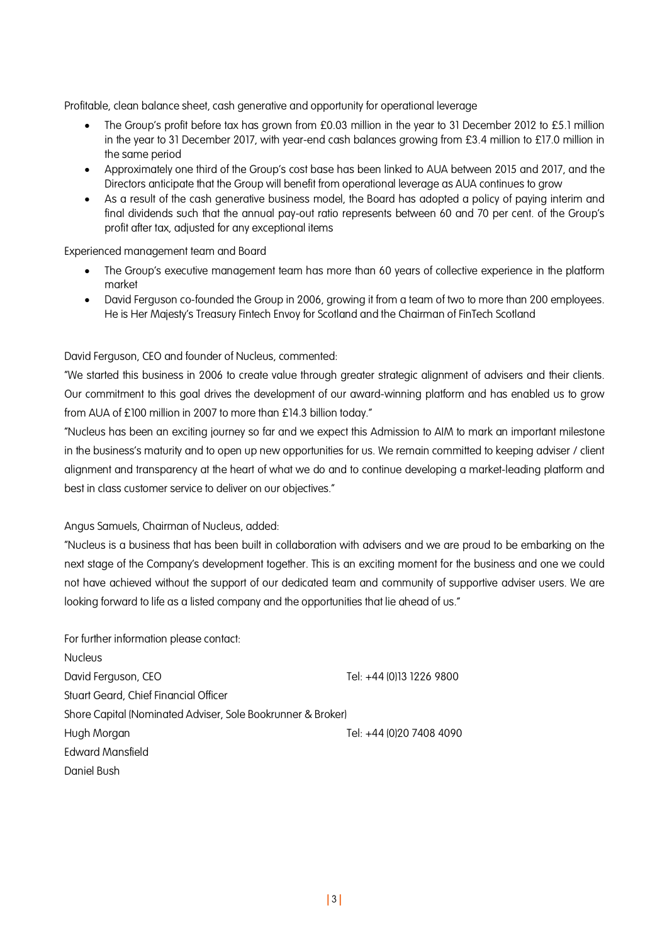Profitable, clean balance sheet, cash generative and opportunity for operational leverage

- The Group's profit before tax has grown from £0.03 million in the year to 31 December 2012 to £5.1 million in the year to 31 December 2017, with year-end cash balances growing from £3.4 million to £17.0 million in the same period
- Approximately one third of the Group's cost base has been linked to AUA between 2015 and 2017, and the Directors anticipate that the Group will benefit from operational leverage as AUA continues to grow
- As a result of the cash generative business model, the Board has adopted a policy of paying interim and final dividends such that the annual pay-out ratio represents between 60 and 70 per cent. of the Group's profit after tax, adjusted for any exceptional items

Experienced management team and Board

- The Group's executive management team has more than 60 years of collective experience in the platform market
- David Ferguson co-founded the Group in 2006, growing it from a team of two to more than 200 employees. He is Her Majesty's Treasury Fintech Envoy for Scotland and the Chairman of FinTech Scotland

# David Ferguson, CEO and founder of Nucleus, commented:

"We started this business in 2006 to create value through greater strategic alignment of advisers and their clients. Our commitment to this goal drives the development of our award-winning platform and has enabled us to grow from AUA of £100 million in 2007 to more than £14.3 billion today."

"Nucleus has been an exciting journey so far and we expect this Admission to AIM to mark an important milestone in the business's maturity and to open up new opportunities for us. We remain committed to keeping adviser / client alignment and transparency at the heart of what we do and to continue developing a market-leading platform and best in class customer service to deliver on our objectives."

Angus Samuels, Chairman of Nucleus, added:

"Nucleus is a business that has been built in collaboration with advisers and we are proud to be embarking on the next stage of the Company's development together. This is an exciting moment for the business and one we could not have achieved without the support of our dedicated team and community of supportive adviser users. We are looking forward to life as a listed company and the opportunities that lie ahead of us."

| For further information please contact:                     |                          |  |  |
|-------------------------------------------------------------|--------------------------|--|--|
| <b>Nucleus</b>                                              |                          |  |  |
| David Ferguson, CEO                                         | Tel: +44 (0)13 1226 9800 |  |  |
| Stuart Geard, Chief Financial Officer                       |                          |  |  |
| Shore Capital (Nominated Adviser, Sole Bookrunner & Broker) |                          |  |  |
| Hugh Morgan                                                 | Tel: +44 (0)20 7408 4090 |  |  |
| <b>Edward Mansfield</b>                                     |                          |  |  |
| Daniel Bush                                                 |                          |  |  |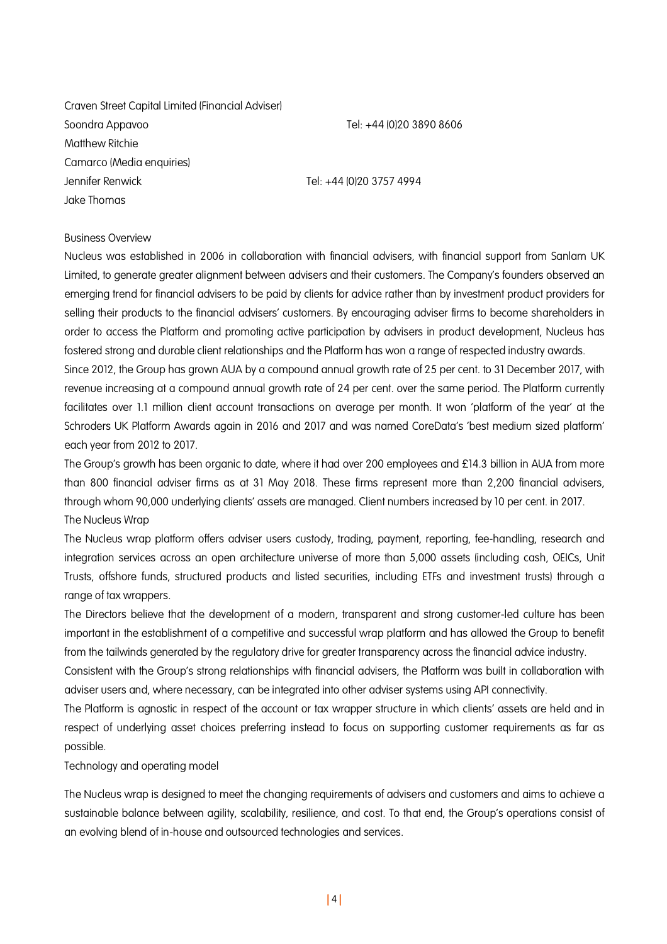Craven Street Capital Limited (Financial Adviser) Soondra Appavoo Tel: +44 (0)20 3890 8606 Matthew Ritchie Camarco (Media enquiries) Jennifer Renwick Tel: +44 (0)20 3757 4994 Jake Thomas

#### Business Overview

Nucleus was established in 2006 in collaboration with financial advisers, with financial support from Sanlam UK Limited, to generate greater alignment between advisers and their customers. The Company's founders observed an emerging trend for financial advisers to be paid by clients for advice rather than by investment product providers for selling their products to the financial advisers' customers. By encouraging adviser firms to become shareholders in order to access the Platform and promoting active participation by advisers in product development, Nucleus has fostered strong and durable client relationships and the Platform has won a range of respected industry awards.

Since 2012, the Group has grown AUA by a compound annual growth rate of 25 per cent. to 31 December 2017, with revenue increasing at a compound annual growth rate of 24 per cent. over the same period. The Platform currently facilitates over 1.1 million client account transactions on average per month. It won 'platform of the year' at the Schroders UK Platform Awards again in 2016 and 2017 and was named CoreData's 'best medium sized platform' each year from 2012 to 2017.

The Group's growth has been organic to date, where it had over 200 employees and £14.3 billion in AUA from more than 800 financial adviser firms as at 31 May 2018. These firms represent more than 2,200 financial advisers, through whom 90,000 underlying clients' assets are managed. Client numbers increased by 10 per cent. in 2017.

The Nucleus Wrap

The Nucleus wrap platform offers adviser users custody, trading, payment, reporting, fee-handling, research and integration services across an open architecture universe of more than 5,000 assets (including cash, OEICs, Unit Trusts, offshore funds, structured products and listed securities, including ETFs and investment trusts) through a range of tax wrappers.

The Directors believe that the development of a modern, transparent and strong customer-led culture has been important in the establishment of a competitive and successful wrap platform and has allowed the Group to benefit from the tailwinds generated by the regulatory drive for greater transparency across the financial advice industry.

Consistent with the Group's strong relationships with financial advisers, the Platform was built in collaboration with adviser users and, where necessary, can be integrated into other adviser systems using API connectivity.

The Platform is agnostic in respect of the account or tax wrapper structure in which clients' assets are held and in respect of underlying asset choices preferring instead to focus on supporting customer requirements as far as possible.

Technology and operating model

The Nucleus wrap is designed to meet the changing requirements of advisers and customers and aims to achieve a sustainable balance between agility, scalability, resilience, and cost. To that end, the Group's operations consist of an evolving blend of in-house and outsourced technologies and services.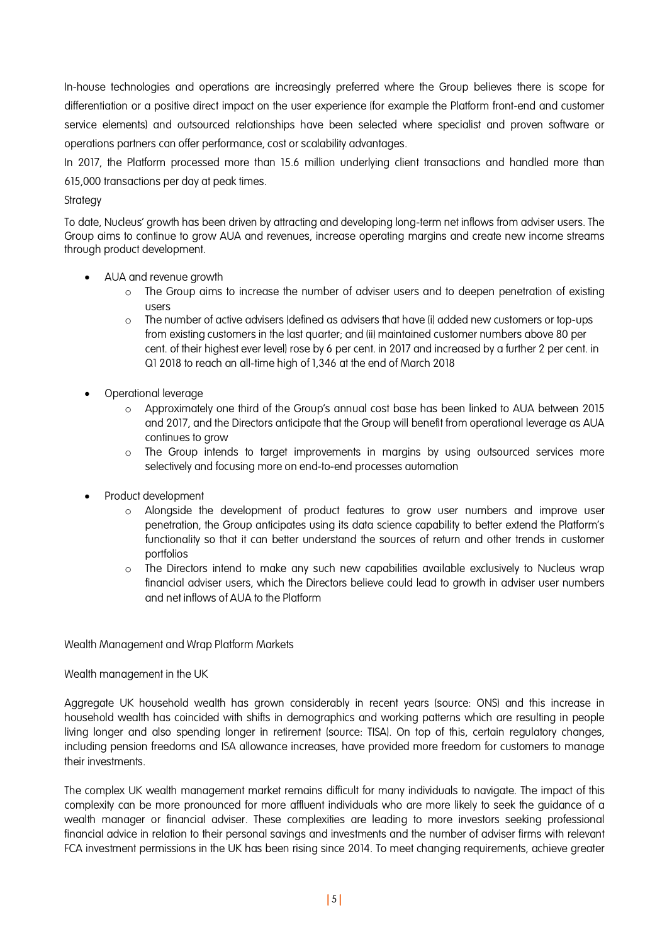In-house technologies and operations are increasingly preferred where the Group believes there is scope for differentiation or a positive direct impact on the user experience (for example the Platform front-end and customer service elements) and outsourced relationships have been selected where specialist and proven software or operations partners can offer performance, cost or scalability advantages.

In 2017, the Platform processed more than 15.6 million underlying client transactions and handled more than 615,000 transactions per day at peak times.

## **Strategy**

To date, Nucleus' growth has been driven by attracting and developing long-term net inflows from adviser users. The Group aims to continue to grow AUA and revenues, increase operating margins and create new income streams through product development.

- AUA and revenue growth
	- $\circ$  The Group aims to increase the number of adviser users and to deepen penetration of existing users
	- $\circ$  The number of active advisers (defined as advisers that have (i) added new customers or top-ups from existing customers in the last quarter; and (ii) maintained customer numbers above 80 per cent. of their highest ever level) rose by 6 per cent. in 2017 and increased by a further 2 per cent. in Q1 2018 to reach an all-time high of 1,346 at the end of March 2018
- Operational leverage
	- o Approximately one third of the Group's annual cost base has been linked to AUA between 2015 and 2017, and the Directors anticipate that the Group will benefit from operational leverage as AUA continues to grow
	- o The Group intends to target improvements in margins by using outsourced services more selectively and focusing more on end-to-end processes automation
- Product development
	- o Alongside the development of product features to grow user numbers and improve user penetration, the Group anticipates using its data science capability to better extend the Platform's functionality so that it can better understand the sources of return and other trends in customer portfolios
	- o The Directors intend to make any such new capabilities available exclusively to Nucleus wrap financial adviser users, which the Directors believe could lead to growth in adviser user numbers and net inflows of AUA to the Platform

Wealth Management and Wrap Platform Markets

#### Wealth management in the UK

Aggregate UK household wealth has grown considerably in recent years (source: ONS) and this increase in household wealth has coincided with shifts in demographics and working patterns which are resulting in people living longer and also spending longer in retirement (source: TISA). On top of this, certain regulatory changes, including pension freedoms and ISA allowance increases, have provided more freedom for customers to manage their investments.

The complex UK wealth management market remains difficult for many individuals to navigate. The impact of this complexity can be more pronounced for more affluent individuals who are more likely to seek the guidance of a wealth manager or financial adviser. These complexities are leading to more investors seeking professional financial advice in relation to their personal savings and investments and the number of adviser firms with relevant FCA investment permissions in the UK has been rising since 2014. To meet changing requirements, achieve greater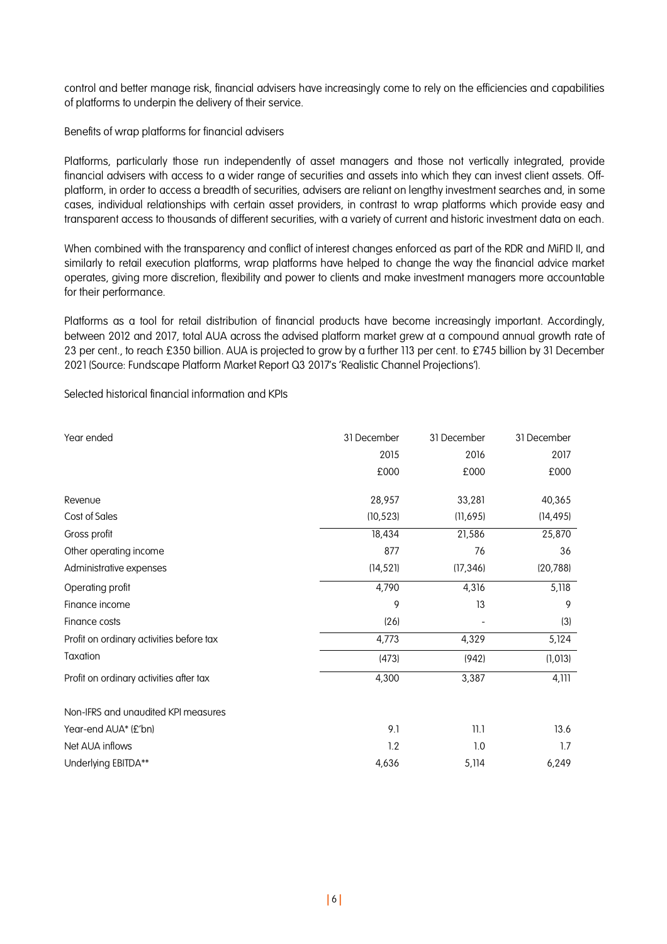control and better manage risk, financial advisers have increasingly come to rely on the efficiencies and capabilities of platforms to underpin the delivery of their service.

Benefits of wrap platforms for financial advisers

Platforms, particularly those run independently of asset managers and those not vertically integrated, provide financial advisers with access to a wider range of securities and assets into which they can invest client assets. Offplatform, in order to access a breadth of securities, advisers are reliant on lengthy investment searches and, in some cases, individual relationships with certain asset providers, in contrast to wrap platforms which provide easy and transparent access to thousands of different securities, with a variety of current and historic investment data on each.

When combined with the transparency and conflict of interest changes enforced as part of the RDR and MiFID II, and similarly to retail execution platforms, wrap platforms have helped to change the way the financial advice market operates, giving more discretion, flexibility and power to clients and make investment managers more accountable for their performance.

Platforms as a tool for retail distribution of financial products have become increasingly important. Accordingly, between 2012 and 2017, total AUA across the advised platform market grew at a compound annual growth rate of 23 per cent., to reach £350 billion. AUA is projected to grow by a further 113 per cent. to £745 billion by 31 December 2021 (Source: Fundscape Platform Market Report Q3 2017's 'Realistic Channel Projections').

Selected historical financial information and KPIs

| Year ended                               | 31 December | 31 December | 31 December |
|------------------------------------------|-------------|-------------|-------------|
|                                          | 2015        | 2016        | 2017        |
|                                          | £000        | £000        | £000        |
| Revenue                                  | 28,957      | 33,281      | 40,365      |
| Cost of Sales                            | (10, 523)   | (11, 695)   | (14, 495)   |
| Gross profit                             | 18,434      | 21,586      | 25,870      |
| Other operating income                   | 877         | 76          | 36          |
| Administrative expenses                  | (14, 521)   | (17, 346)   | (20, 788)   |
| Operating profit                         | 4,790       | 4,316       | 5,118       |
| Finance income                           | 9           | 13          | 9           |
| Finance costs                            | (26)        |             | (3)         |
| Profit on ordinary activities before tax | 4,773       | 4,329       | 5,124       |
| Taxation                                 | (473)       | (942)       | (1,013)     |
| Profit on ordinary activities after tax  | 4,300       | 3,387       | 4,111       |
| Non-IFRS and unaudited KPI measures      |             |             |             |
| Year-end AUA* (£'bn)                     | 9.1         | 11.1        | 13.6        |
| Net AUA inflows                          | 1.2         | 1.0         | 1.7         |
| Underlying EBITDA**                      | 4,636       | 5,114       | 6,249       |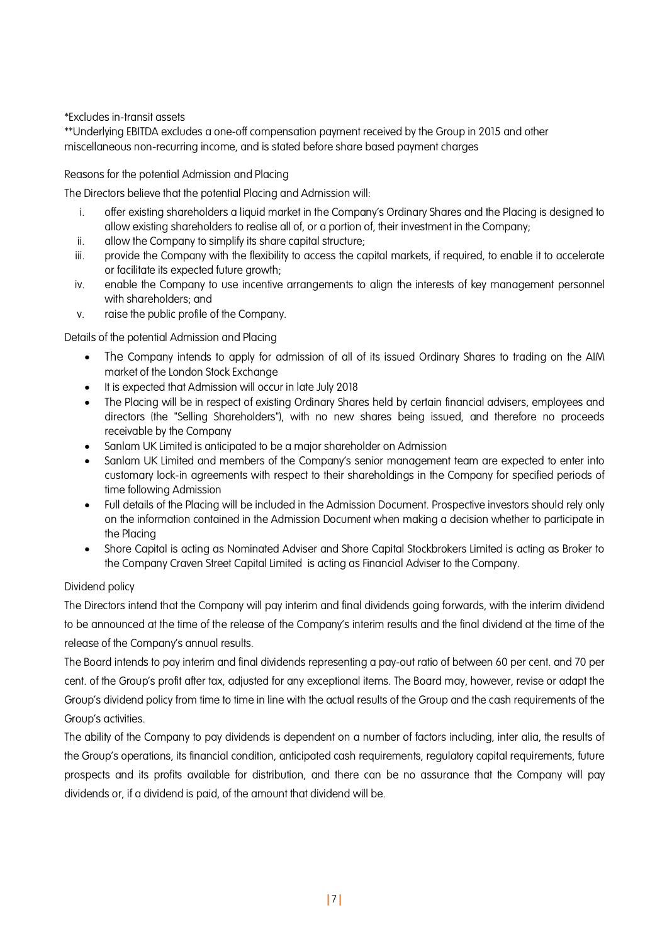\*Excludes in-transit assets

\*\*Underlying EBITDA excludes a one-off compensation payment received by the Group in 2015 and other miscellaneous non-recurring income, and is stated before share based payment charges

## Reasons for the potential Admission and Placing

The Directors believe that the potential Placing and Admission will:

- i. offer existing shareholders a liquid market in the Company's Ordinary Shares and the Placing is designed to allow existing shareholders to realise all of, or a portion of, their investment in the Company;
- ii. allow the Company to simplify its share capital structure;
- iii. provide the Company with the flexibility to access the capital markets, if required, to enable it to accelerate or facilitate its expected future growth;
- iv. enable the Company to use incentive arrangements to align the interests of key management personnel with shareholders; and
- v. raise the public profile of the Company.

Details of the potential Admission and Placing

- The Company intends to apply for admission of all of its issued Ordinary Shares to trading on the AIM market of the London Stock Exchange
- It is expected that Admission will occur in late July 2018
- The Placing will be in respect of existing Ordinary Shares held by certain financial advisers, employees and directors (the "Selling Shareholders"), with no new shares being issued, and therefore no proceeds receivable by the Company
- Sanlam UK Limited is anticipated to be a major shareholder on Admission
- Sanlam UK Limited and members of the Company's senior management team are expected to enter into customary lock-in agreements with respect to their shareholdings in the Company for specified periods of time following Admission
- Full details of the Placing will be included in the Admission Document. Prospective investors should rely only on the information contained in the Admission Document when making a decision whether to participate in the Placing
- Shore Capital is acting as Nominated Adviser and Shore Capital Stockbrokers Limited is acting as Broker to the Company Craven Street Capital Limited is acting as Financial Adviser to the Company.

# Dividend policy

The Directors intend that the Company will pay interim and final dividends going forwards, with the interim dividend to be announced at the time of the release of the Company's interim results and the final dividend at the time of the release of the Company's annual results.

The Board intends to pay interim and final dividends representing a pay-out ratio of between 60 per cent. and 70 per cent. of the Group's profit after tax, adjusted for any exceptional items. The Board may, however, revise or adapt the Group's dividend policy from time to time in line with the actual results of the Group and the cash requirements of the Group's activities.

The ability of the Company to pay dividends is dependent on a number of factors including, inter alia, the results of the Group's operations, its financial condition, anticipated cash requirements, regulatory capital requirements, future prospects and its profits available for distribution, and there can be no assurance that the Company will pay dividends or, if a dividend is paid, of the amount that dividend will be.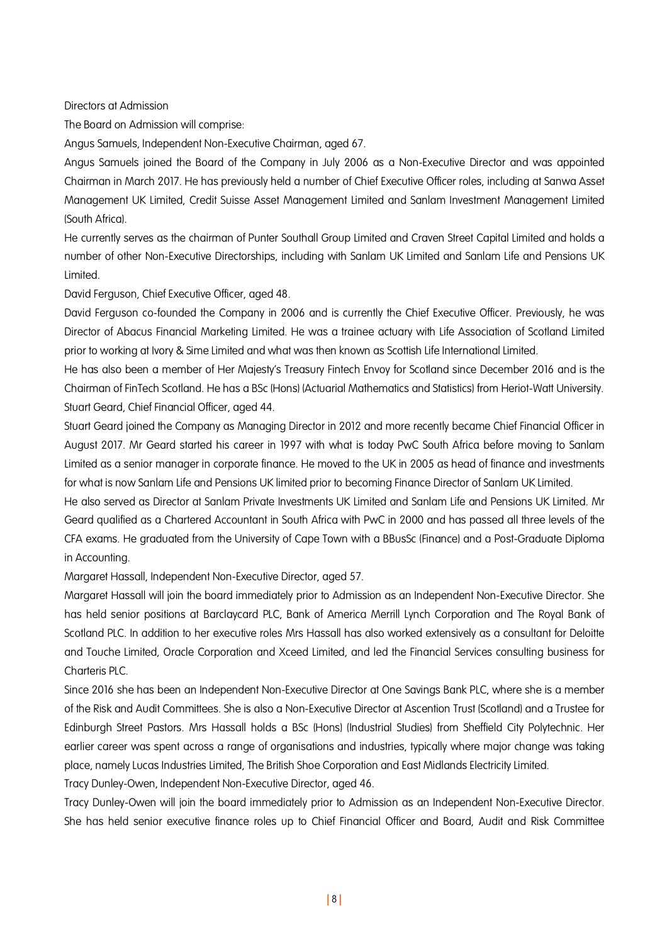Directors at Admission

The Board on Admission will comprise:

Angus Samuels, Independent Non-Executive Chairman, aged 67.

Angus Samuels joined the Board of the Company in July 2006 as a Non-Executive Director and was appointed Chairman in March 2017. He has previously held a number of Chief Executive Officer roles, including at Sanwa Asset Management UK Limited, Credit Suisse Asset Management Limited and Sanlam Investment Management Limited (South Africa).

He currently serves as the chairman of Punter Southall Group Limited and Craven Street Capital Limited and holds a number of other Non-Executive Directorships, including with Sanlam UK Limited and Sanlam Life and Pensions UK Limited.

David Ferguson, Chief Executive Officer, aged 48.

David Ferguson co-founded the Company in 2006 and is currently the Chief Executive Officer. Previously, he was Director of Abacus Financial Marketing Limited. He was a trainee actuary with Life Association of Scotland Limited prior to working at Ivory & Sime Limited and what was then known as Scottish Life International Limited.

He has also been a member of Her Majesty's Treasury Fintech Envoy for Scotland since December 2016 and is the Chairman of FinTech Scotland. He has a BSc (Hons) (Actuarial Mathematics and Statistics) from Heriot-Watt University. Stuart Geard, Chief Financial Officer, aged 44.

Stuart Geard joined the Company as Managing Director in 2012 and more recently became Chief Financial Officer in August 2017. Mr Geard started his career in 1997 with what is today PwC South Africa before moving to Sanlam Limited as a senior manager in corporate finance. He moved to the UK in 2005 as head of finance and investments for what is now Sanlam Life and Pensions UK limited prior to becoming Finance Director of Sanlam UK Limited.

He also served as Director at Sanlam Private Investments UK Limited and Sanlam Life and Pensions UK Limited. Mr Geard qualified as a Chartered Accountant in South Africa with PwC in 2000 and has passed all three levels of the CFA exams. He graduated from the University of Cape Town with a BBusSc (Finance) and a Post-Graduate Diploma in Accounting.

Margaret Hassall, Independent Non-Executive Director, aged 57.

Margaret Hassall will join the board immediately prior to Admission as an Independent Non-Executive Director. She has held senior positions at Barclaycard PLC, Bank of America Merrill Lynch Corporation and The Royal Bank of Scotland PLC. In addition to her executive roles Mrs Hassall has also worked extensively as a consultant for Deloitte and Touche Limited, Oracle Corporation and Xceed Limited, and led the Financial Services consulting business for Charteris PLC.

Since 2016 she has been an Independent Non-Executive Director at One Savings Bank PLC, where she is a member of the Risk and Audit Committees. She is also a Non-Executive Director at Ascention Trust (Scotland) and a Trustee for Edinburgh Street Pastors. Mrs Hassall holds a BSc (Hons) (Industrial Studies) from Sheffield City Polytechnic. Her earlier career was spent across a range of organisations and industries, typically where major change was taking place, namely Lucas Industries Limited, The British Shoe Corporation and East Midlands Electricity Limited.

Tracy Dunley-Owen, Independent Non-Executive Director, aged 46.

Tracy Dunley-Owen will join the board immediately prior to Admission as an Independent Non-Executive Director. She has held senior executive finance roles up to Chief Financial Officer and Board, Audit and Risk Committee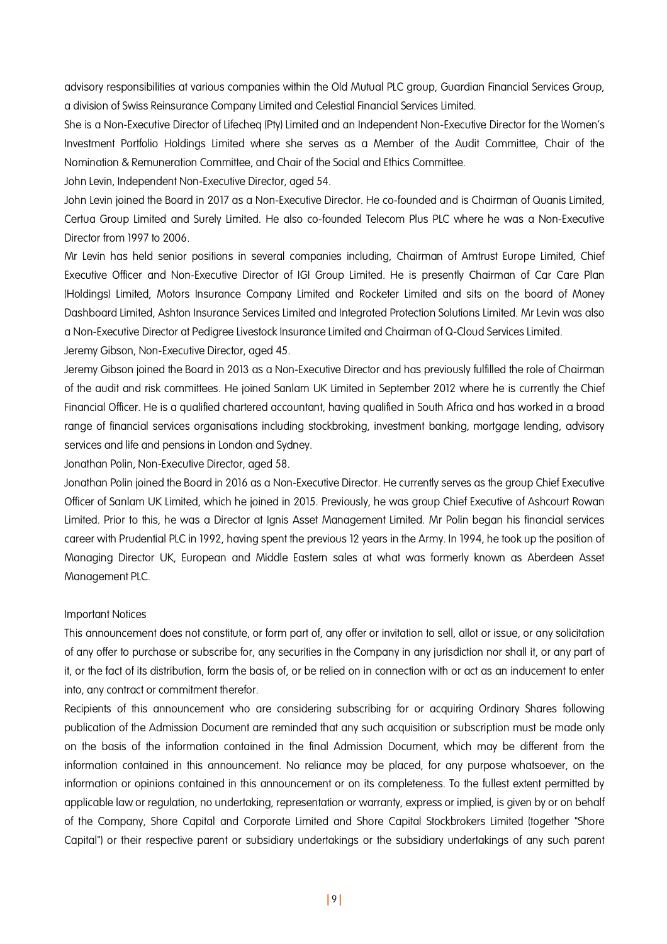advisory responsibilities at various companies within the Old Mutual PLC group, Guardian Financial Services Group, a division of Swiss Reinsurance Company Limited and Celestial Financial Services Limited.

She is a Non-Executive Director of Lifecheq (Pty) Limited and an Independent Non-Executive Director for the Women's Investment Portfolio Holdings Limited where she serves as a Member of the Audit Committee, Chair of the Nomination & Remuneration Committee, and Chair of the Social and Ethics Committee.

John Levin, Independent Non-Executive Director, aged 54.

John Levin joined the Board in 2017 as a Non-Executive Director. He co-founded and is Chairman of Quanis Limited, Certua Group Limited and Surely Limited. He also co-founded Telecom Plus PLC where he was a Non-Executive Director from 1997 to 2006.

Mr Levin has held senior positions in several companies including, Chairman of Amtrust Europe Limited, Chief Executive Officer and Non-Executive Director of IGI Group Limited. He is presently Chairman of Car Care Plan (Holdings) Limited, Motors Insurance Company Limited and Rocketer Limited and sits on the board of Money Dashboard Limited, Ashton Insurance Services Limited and Integrated Protection Solutions Limited. Mr Levin was also a Non-Executive Director at Pedigree Livestock Insurance Limited and Chairman of Q-Cloud Services Limited.

Jeremy Gibson, Non-Executive Director, aged 45.

Jeremy Gibson joined the Board in 2013 as a Non-Executive Director and has previously fulfilled the role of Chairman of the audit and risk committees. He joined Sanlam UK Limited in September 2012 where he is currently the Chief Financial Officer. He is a qualified chartered accountant, having qualified in South Africa and has worked in a broad range of financial services organisations including stockbroking, investment banking, mortgage lending, advisory services and life and pensions in London and Sydney.

Jonathan Polin, Non-Executive Director, aged 58.

Jonathan Polin joined the Board in 2016 as a Non-Executive Director. He currently serves as the group Chief Executive Officer of Sanlam UK Limited, which he joined in 2015. Previously, he was group Chief Executive of Ashcourt Rowan Limited. Prior to this, he was a Director at Ignis Asset Management Limited. Mr Polin began his financial services career with Prudential PLC in 1992, having spent the previous 12 years in the Army. In 1994, he took up the position of Managing Director UK, European and Middle Eastern sales at what was formerly known as Aberdeen Asset Management PLC.

#### Important Notices

This announcement does not constitute, or form part of, any offer or invitation to sell, allot or issue, or any solicitation of any offer to purchase or subscribe for, any securities in the Company in any jurisdiction nor shall it, or any part of it, or the fact of its distribution, form the basis of, or be relied on in connection with or act as an inducement to enter into, any contract or commitment therefor.

Recipients of this announcement who are considering subscribing for or acquiring Ordinary Shares following publication of the Admission Document are reminded that any such acquisition or subscription must be made only on the basis of the information contained in the final Admission Document, which may be different from the information contained in this announcement. No reliance may be placed, for any purpose whatsoever, on the information or opinions contained in this announcement or on its completeness. To the fullest extent permitted by applicable law or regulation, no undertaking, representation or warranty, express or implied, is given by or on behalf of the Company, Shore Capital and Corporate Limited and Shore Capital Stockbrokers Limited (together "Shore Capital") or their respective parent or subsidiary undertakings or the subsidiary undertakings of any such parent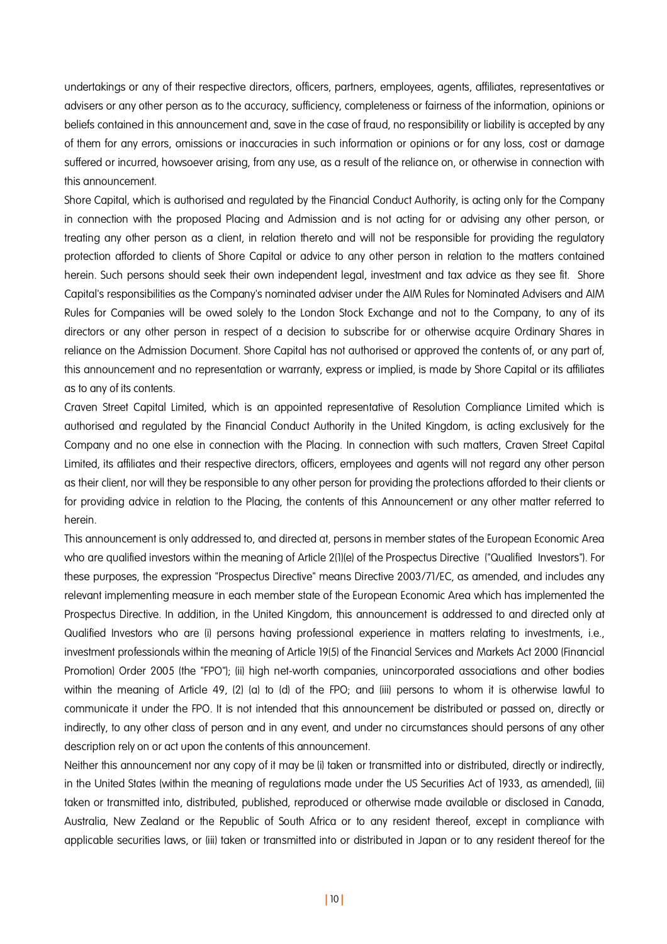undertakings or any of their respective directors, officers, partners, employees, agents, affiliates, representatives or advisers or any other person as to the accuracy, sufficiency, completeness or fairness of the information, opinions or beliefs contained in this announcement and, save in the case of fraud, no responsibility or liability is accepted by any of them for any errors, omissions or inaccuracies in such information or opinions or for any loss, cost or damage suffered or incurred, howsoever arising, from any use, as a result of the reliance on, or otherwise in connection with this announcement.

Shore Capital, which is authorised and regulated by the Financial Conduct Authority, is acting only for the Company in connection with the proposed Placing and Admission and is not acting for or advising any other person, or treating any other person as a client, in relation thereto and will not be responsible for providing the regulatory protection afforded to clients of Shore Capital or advice to any other person in relation to the matters contained herein. Such persons should seek their own independent legal, investment and tax advice as they see fit. Shore Capital's responsibilities as the Company's nominated adviser under the AIM Rules for Nominated Advisers and AIM Rules for Companies will be owed solely to the London Stock Exchange and not to the Company, to any of its directors or any other person in respect of a decision to subscribe for or otherwise acquire Ordinary Shares in reliance on the Admission Document. Shore Capital has not authorised or approved the contents of, or any part of, this announcement and no representation or warranty, express or implied, is made by Shore Capital or its affiliates as to any of its contents.

Craven Street Capital Limited, which is an appointed representative of Resolution Compliance Limited which is authorised and regulated by the Financial Conduct Authority in the United Kingdom, is acting exclusively for the Company and no one else in connection with the Placing. In connection with such matters, Craven Street Capital Limited, its affiliates and their respective directors, officers, employees and agents will not regard any other person as their client, nor will they be responsible to any other person for providing the protections afforded to their clients or for providing advice in relation to the Placing, the contents of this Announcement or any other matter referred to herein.

This announcement is only addressed to, and directed at, persons in member states of the European Economic Area who are qualified investors within the meaning of Article 2(1)(e) of the Prospectus Directive ("Qualified Investors"). For these purposes, the expression "Prospectus Directive" means Directive 2003/71/EC, as amended, and includes any relevant implementing measure in each member state of the European Economic Area which has implemented the Prospectus Directive. In addition, in the United Kingdom, this announcement is addressed to and directed only at Qualified Investors who are (i) persons having professional experience in matters relating to investments, i.e., investment professionals within the meaning of Article 19(5) of the Financial Services and Markets Act 2000 (Financial Promotion) Order 2005 (the "FPO"); (ii) high net-worth companies, unincorporated associations and other bodies within the meaning of Article 49, (2) (a) to (d) of the FPO; and (iii) persons to whom it is otherwise lawful to communicate it under the FPO. It is not intended that this announcement be distributed or passed on, directly or indirectly, to any other class of person and in any event, and under no circumstances should persons of any other description rely on or act upon the contents of this announcement.

Neither this announcement nor any copy of it may be (i) taken or transmitted into or distributed, directly or indirectly, in the United States (within the meaning of regulations made under the US Securities Act of 1933, as amended), (ii) taken or transmitted into, distributed, published, reproduced or otherwise made available or disclosed in Canada, Australia, New Zealand or the Republic of South Africa or to any resident thereof, except in compliance with applicable securities laws, or (iii) taken or transmitted into or distributed in Japan or to any resident thereof for the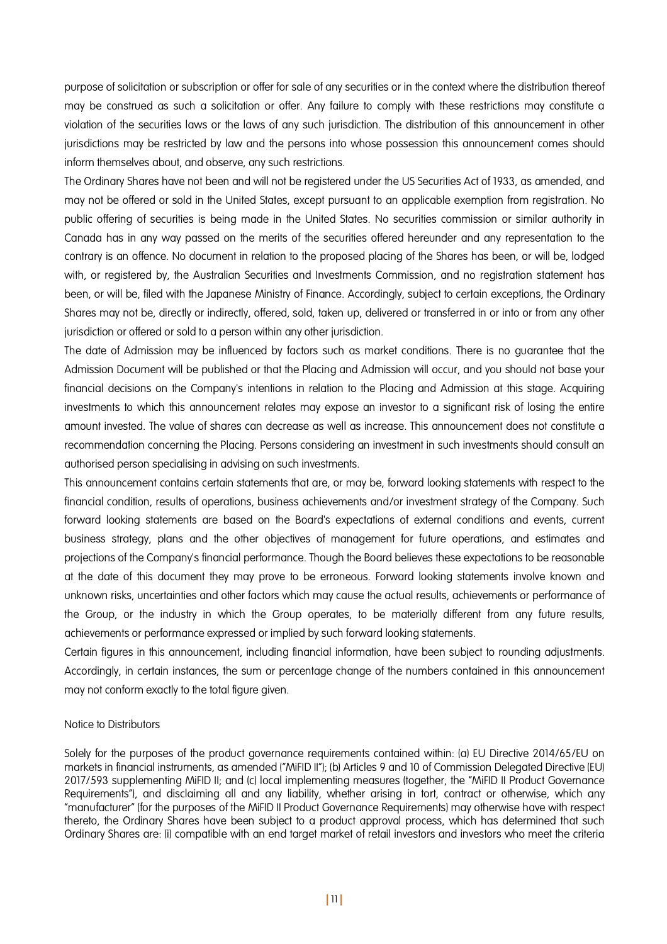purpose of solicitation or subscription or offer for sale of any securities or in the context where the distribution thereof may be construed as such a solicitation or offer. Any failure to comply with these restrictions may constitute a violation of the securities laws or the laws of any such jurisdiction. The distribution of this announcement in other jurisdictions may be restricted by law and the persons into whose possession this announcement comes should inform themselves about, and observe, any such restrictions.

The Ordinary Shares have not been and will not be registered under the US Securities Act of 1933, as amended, and may not be offered or sold in the United States, except pursuant to an applicable exemption from registration. No public offering of securities is being made in the United States. No securities commission or similar authority in Canada has in any way passed on the merits of the securities offered hereunder and any representation to the contrary is an offence. No document in relation to the proposed placing of the Shares has been, or will be, lodged with, or registered by, the Australian Securities and Investments Commission, and no registration statement has been, or will be, filed with the Japanese Ministry of Finance. Accordingly, subject to certain exceptions, the Ordinary Shares may not be, directly or indirectly, offered, sold, taken up, delivered or transferred in or into or from any other jurisdiction or offered or sold to a person within any other jurisdiction.

The date of Admission may be influenced by factors such as market conditions. There is no guarantee that the Admission Document will be published or that the Placing and Admission will occur, and you should not base your financial decisions on the Company's intentions in relation to the Placing and Admission at this stage. Acquiring investments to which this announcement relates may expose an investor to a significant risk of losing the entire amount invested. The value of shares can decrease as well as increase. This announcement does not constitute a recommendation concerning the Placing. Persons considering an investment in such investments should consult an authorised person specialising in advising on such investments.

This announcement contains certain statements that are, or may be, forward looking statements with respect to the financial condition, results of operations, business achievements and/or investment strategy of the Company. Such forward looking statements are based on the Board's expectations of external conditions and events, current business strategy, plans and the other objectives of management for future operations, and estimates and projections of the Company's financial performance. Though the Board believes these expectations to be reasonable at the date of this document they may prove to be erroneous. Forward looking statements involve known and unknown risks, uncertainties and other factors which may cause the actual results, achievements or performance of the Group, or the industry in which the Group operates, to be materially different from any future results, achievements or performance expressed or implied by such forward looking statements.

Certain figures in this announcement, including financial information, have been subject to rounding adjustments. Accordingly, in certain instances, the sum or percentage change of the numbers contained in this announcement may not conform exactly to the total figure given.

#### Notice to Distributors

Solely for the purposes of the product governance requirements contained within: (a) EU Directive 2014/65/EU on markets in financial instruments, as amended ("MiFID II"); (b) Articles 9 and 10 of Commission Delegated Directive (EU) 2017/593 supplementing MiFID II; and (c) local implementing measures (together, the "MiFID II Product Governance Requirements"), and disclaiming all and any liability, whether arising in tort, contract or otherwise, which any "manufacturer" (for the purposes of the MiFID II Product Governance Requirements) may otherwise have with respect thereto, the Ordinary Shares have been subject to a product approval process, which has determined that such Ordinary Shares are: (i) compatible with an end target market of retail investors and investors who meet the criteria